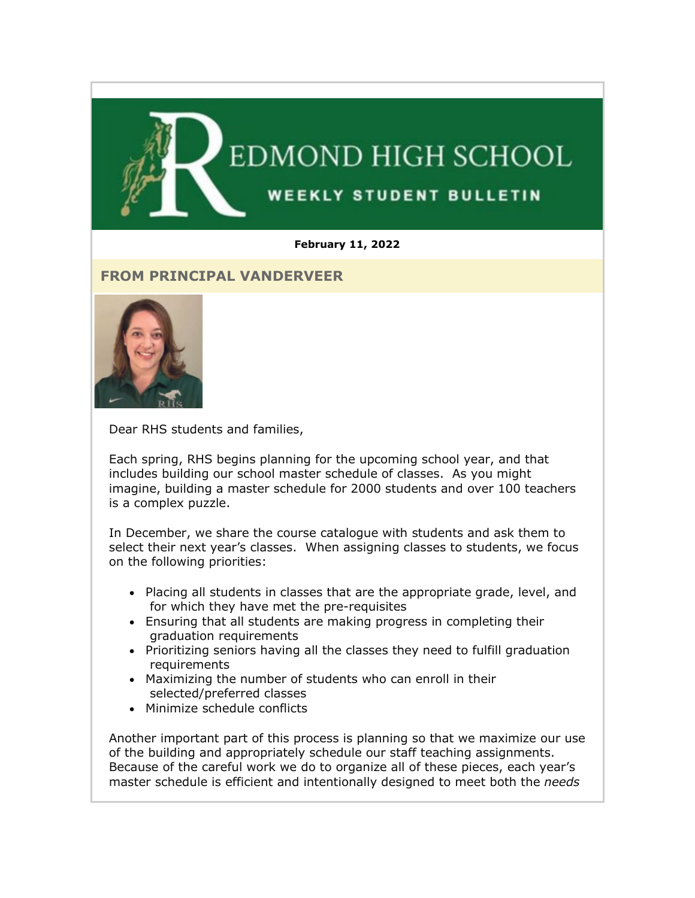

#### **February 11, 2022**

#### **FROM PRINCIPAL VANDERVEER**



Dear RHS students and families,

Each spring, RHS begins planning for the upcoming school year, and that includes building our school master schedule of classes. As you might imagine, building a master schedule for 2000 students and over 100 teachers is a complex puzzle.

In December, we share the course catalogue with students and ask them to select their next year's classes. When assigning classes to students, we focus on the following priorities:

- Placing all students in classes that are the appropriate grade, level, and for which they have met the pre-requisites
- Ensuring that all students are making progress in completing their graduation requirements
- Prioritizing seniors having all the classes they need to fulfill graduation requirements
- Maximizing the number of students who can enroll in their selected/preferred classes
- Minimize schedule conflicts

Another important part of this process is planning so that we maximize our use of the building and appropriately schedule our staff teaching assignments. Because of the careful work we do to organize all of these pieces, each year's master schedule is efficient and intentionally designed to meet both the *needs*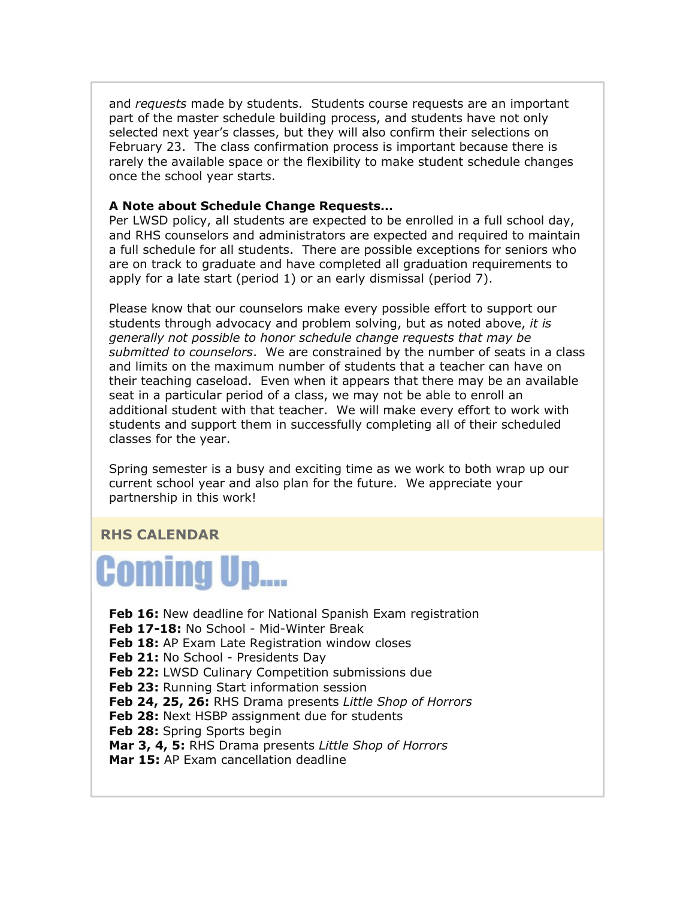and *requests* made by students. Students course requests are an important part of the master schedule building process, and students have not only selected next year's classes, but they will also confirm their selections on February 23. The class confirmation process is important because there is rarely the available space or the flexibility to make student schedule changes once the school year starts.

#### **A Note about Schedule Change Requests…**

Per LWSD policy, all students are expected to be enrolled in a full school day, and RHS counselors and administrators are expected and required to maintain a full schedule for all students. There are possible exceptions for seniors who are on track to graduate and have completed all graduation requirements to apply for a late start (period 1) or an early dismissal (period 7).

Please know that our counselors make every possible effort to support our students through advocacy and problem solving, but as noted above, *it is generally not possible to honor schedule change requests that may be submitted to counselors*. We are constrained by the number of seats in a class and limits on the maximum number of students that a teacher can have on their teaching caseload. Even when it appears that there may be an available seat in a particular period of a class, we may not be able to enroll an additional student with that teacher. We will make every effort to work with students and support them in successfully completing all of their scheduled classes for the year.

Spring semester is a busy and exciting time as we work to both wrap up our current school year and also plan for the future. We appreciate your partnership in this work!

#### **RHS CALENDAR**



**Feb 16:** New deadline for National Spanish Exam registration **Feb 17-18:** No School - Mid-Winter Break **Feb 18:** AP Exam Late Registration window closes Feb 21: No School - Presidents Day **Feb 22: LWSD Culinary Competition submissions due Feb 23:** Running Start information session **Feb 24, 25, 26:** RHS Drama presents *Little Shop of Horrors* **Feb 28:** Next HSBP assignment due for students **Feb 28:** Spring Sports begin **Mar 3, 4, 5:** RHS Drama presents *Little Shop of Horrors* **Mar 15:** AP Exam cancellation deadline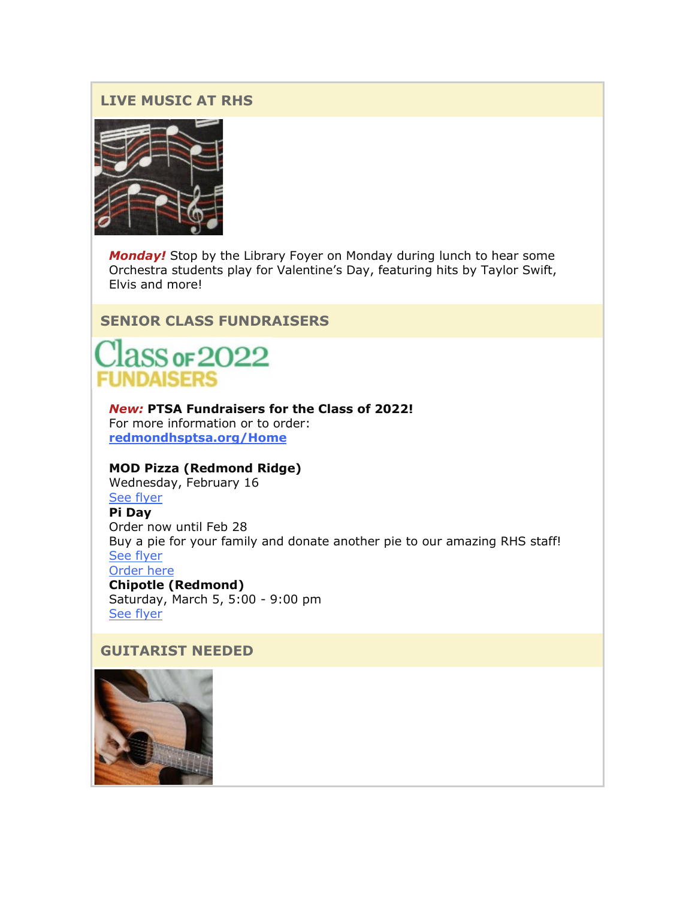#### **LIVE MUSIC AT RHS**



*Monday!* Stop by the Library Foyer on Monday during lunch to hear some Orchestra students play for Valentine's Day, featuring hits by Taylor Swift, Elvis and more!

**SENIOR CLASS FUNDRAISERS**



*New:* **PTSA Fundraisers for the Class of 2022!** For more information or to order: **[redmondhsptsa.org/Home](https://nam02.safelinks.protection.outlook.com/?url=http%3A%2F%2Flink.email.dynect.net%2Flink.php%3FDynEngagement%3Dtrue%26H%3De%252BlHqQR4V3v4VMvJ3m0NDL9Oyn7EjMegyw%252Bn2w4NNScdI7r2YcSRy2YdWdBdlvVoZRf4TXbw4L7LOlkoByYYHW35iJb2bu5mS4SlNqTo7aG8GIjoneKOPg%253D%253D%26G%3D0%26R%3Dhttps%253A%252F%252FQYDSGYZTANA.hatchbuck.com%252FTrackLinkClick%253FID2%253D8UAf248QY-5iDK3AvWmSg7BFVHFEjBnFCxyFoW6WyQTpY5yOc8prJ2nSb03vu7p90%26I%3D20220211233653.0000007a5c3e%2540smtp-ad2-50-phx%26X%3DMHwxMjY0OTIyOjI0NzkyMzUxOTY7MXwxMjY0OTIzOjE5NTQxNTMxMDs%253D%26V%3D3%26S%3DhjiHO05NSI0UIjIwBmyNKUheEtaXmUl3d7uKij1GNuY&data=04%7C01%7Cmwood%40lwsd.org%7C159159d8b3fd44a6279408d9edb76939%7C1fd4673fdf9646218638a1d88c4c85d7%7C0%7C0%7C637802194288883376%7CUnknown%7CTWFpbGZsb3d8eyJWIjoiMC4wLjAwMDAiLCJQIjoiV2luMzIiLCJBTiI6Ik1haWwiLCJXVCI6Mn0%3D%7C3000&sdata=xMP4pol63QcOPmNuD7HmTiqi%2FG4zns75ksOO%2Bzh6f4E%3D&reserved=0)**

#### **MOD Pizza (Redmond Ridge)**

Wednesday, February 16

# [See flyer](https://nam02.safelinks.protection.outlook.com/?url=http%3A%2F%2Flink.email.dynect.net%2Flink.php%3FDynEngagement%3Dtrue%26H%3De%252BlHqQR4V3v4VMvJ3m0NDL9Oyn7EjMegyw%252Bn2w4NNScdI7r2YcSRy2YdWdBdlvVoZRf4TXbw4L7LOlkoByYYHW35iJb2bu5mS4SlNqTo7aG8GIjoneKOPg%253D%253D%26G%3D0%26R%3Dhttps%253A%252F%252FQYDSGYZTANA.hatchbuck.com%252FTrackLinkClick%253FID2%253DVbcBmJfAiTPKzIG2IK2lpBwGcA9Ku0k3mYVwlEVy7wfX9rHdBDbcTXzGqrLlyMhg0%26I%3D20220211233653.0000007a5c3e%2540smtp-ad2-50-phx%26X%3DMHwxMjY0OTIyOjI0NzkyMzUxOTY7MXwxMjY0OTIzOjE5NTQxNTMxMDs%253D%26V%3D3%26S%3D92-3BJ_Uqjg-8A-9HCQHhJQQiMggrYehhttNSSlsXVc&data=04%7C01%7Cmwood%40lwsd.org%7C159159d8b3fd44a6279408d9edb76939%7C1fd4673fdf9646218638a1d88c4c85d7%7C0%7C0%7C637802194288883376%7CUnknown%7CTWFpbGZsb3d8eyJWIjoiMC4wLjAwMDAiLCJQIjoiV2luMzIiLCJBTiI6Ik1haWwiLCJXVCI6Mn0%3D%7C3000&sdata=0cPfP%2FIPv%2FznKAGHK18QbvRME52U6vTbs%2Bq5gLkMJd0%3D&reserved=0)

**Pi Day** Order now until Feb 28 Buy a pie for your family and donate another pie to our amazing RHS staff! [See flyer](https://nam02.safelinks.protection.outlook.com/?url=http%3A%2F%2Flink.email.dynect.net%2Flink.php%3FDynEngagement%3Dtrue%26H%3De%252BlHqQR4V3v4VMvJ3m0NDL9Oyn7EjMegyw%252Bn2w4NNScdI7r2YcSRy2YdWdBdlvVoZRf4TXbw4L7LOlkoByYYHW35iJb2bu5mS4SlNqTo7aG8GIjoneKOPg%253D%253D%26G%3D0%26R%3Dhttps%253A%252F%252FQYDSGYZTANA.hatchbuck.com%252FTrackLinkClick%253FID2%253D_-DrFt4UivtyvR7P0Z0CjtKTrIv06M_OYKPRtswUJ0E1CyXgDC8u5ii-QNZORmat0%26I%3D20220211233653.0000007a5c3e%2540smtp-ad2-50-phx%26X%3DMHwxMjY0OTIyOjI0NzkyMzUxOTY7MXwxMjY0OTIzOjE5NTQxNTMxMDs%253D%26V%3D3%26S%3DqoUvxy-Jky4ZQT-zn4UidQmB4y0mxetQigTlkY1c4q4&data=04%7C01%7Cmwood%40lwsd.org%7C159159d8b3fd44a6279408d9edb76939%7C1fd4673fdf9646218638a1d88c4c85d7%7C0%7C0%7C637802194288883376%7CUnknown%7CTWFpbGZsb3d8eyJWIjoiMC4wLjAwMDAiLCJQIjoiV2luMzIiLCJBTiI6Ik1haWwiLCJXVCI6Mn0%3D%7C3000&sdata=QK%2B4%2FLkTxXy%2BG%2BHMo44188FzkZSYEMLnFdrdWmoG%2Blk%3D&reserved=0) [Order here](https://nam02.safelinks.protection.outlook.com/?url=http%3A%2F%2Flink.email.dynect.net%2Flink.php%3FDynEngagement%3Dtrue%26H%3De%252BlHqQR4V3v4VMvJ3m0NDL9Oyn7EjMegyw%252Bn2w4NNScdI7r2YcSRy2YdWdBdlvVoZRf4TXbw4L7LOlkoByYYHW35iJb2bu5mS4SlNqTo7aG8GIjoneKOPg%253D%253D%26G%3D0%26R%3Dhttps%253A%252F%252FQYDSGYZTANA.hatchbuck.com%252FTrackLinkClick%253FID2%253DkGzaPf-Nn3U_jlVX4Kfs3vFSjg6E1rM2tdojVxhikBKoTlRh1-h7GpRvpd29-CUy0%26I%3D20220211233653.0000007a5c3e%2540smtp-ad2-50-phx%26X%3DMHwxMjY0OTIyOjI0NzkyMzUxOTY7MXwxMjY0OTIzOjE5NTQxNTMxMDs%253D%26V%3D3%26S%3DrODoteOCM8XOwV4EguOEh4gHc2d_xvMP4CBhoC0NXAM&data=04%7C01%7Cmwood%40lwsd.org%7C159159d8b3fd44a6279408d9edb76939%7C1fd4673fdf9646218638a1d88c4c85d7%7C0%7C0%7C637802194288883376%7CUnknown%7CTWFpbGZsb3d8eyJWIjoiMC4wLjAwMDAiLCJQIjoiV2luMzIiLCJBTiI6Ik1haWwiLCJXVCI6Mn0%3D%7C3000&sdata=o5JZPICMrEqSYq01YWbU90LDK%2F1xEAc58ubQRJAf8yM%3D&reserved=0) **Chipotle (Redmond)** Saturday, March 5, 5:00 - 9:00 pm [See flyer](https://nam02.safelinks.protection.outlook.com/?url=http%3A%2F%2Flink.email.dynect.net%2Flink.php%3FDynEngagement%3Dtrue%26H%3De%252BlHqQR4V3v4VMvJ3m0NDL9Oyn7EjMegyw%252Bn2w4NNScdI7r2YcSRy2YdWdBdlvVoZRf4TXbw4L7LOlkoByYYHW35iJb2bu5mS4SlNqTo7aG8GIjoneKOPg%253D%253D%26G%3D0%26R%3Dhttps%253A%252F%252FQYDSGYZTANA.hatchbuck.com%252FTrackLinkClick%253FID2%253D7FECfZz_VikjgWYkssPmjVEnAkhRhrX_zA9T4y9zOLOLBKXoOL3ehSaiP2Q9KEZ50%26I%3D20220211233653.0000007a5c3e%2540smtp-ad2-50-phx%26X%3DMHwxMjY0OTIyOjI0NzkyMzUxOTY7MXwxMjY0OTIzOjE5NTQxNTMxMDs%253D%26V%3D3%26S%3Dpjj7Hd4BlqemWrHz36I8WIiXrLZoFoWsw-3Gsrr000c&data=04%7C01%7Cmwood%40lwsd.org%7C159159d8b3fd44a6279408d9edb76939%7C1fd4673fdf9646218638a1d88c4c85d7%7C0%7C0%7C637802194288883376%7CUnknown%7CTWFpbGZsb3d8eyJWIjoiMC4wLjAwMDAiLCJQIjoiV2luMzIiLCJBTiI6Ik1haWwiLCJXVCI6Mn0%3D%7C3000&sdata=WSntALgcmiRGM5aC9kDJZNzbT9HmXVHE1rMNC2HkUN4%3D&reserved=0)

#### **GUITARIST NEEDED**

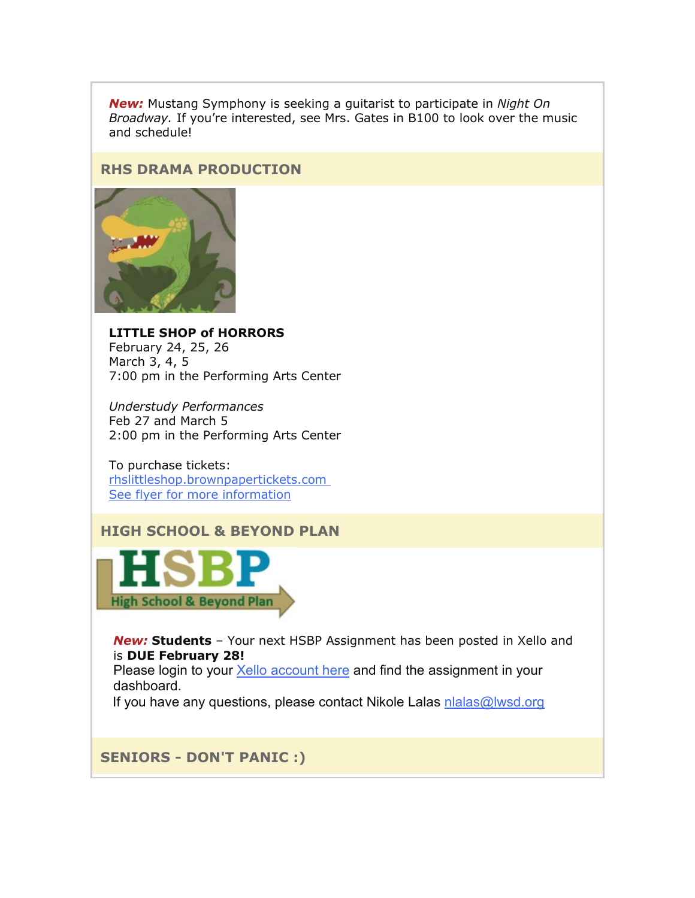*New:* Mustang Symphony is seeking a guitarist to participate in *Night On Broadway.* If you're interested, see Mrs. Gates in B100 to look over the music and schedule!

#### **RHS DRAMA PRODUCTION**



**LITTLE SHOP of HORRORS** February 24, 25, 26 March 3, 4, 5 7:00 pm in the Performing Arts Center

*Understudy Performances* Feb 27 and March 5 2:00 pm in the Performing Arts Center

To purchase tickets: [rhslittleshop.brownpapertickets.com](https://nam02.safelinks.protection.outlook.com/?url=http%3A%2F%2Flink.email.dynect.net%2Flink.php%3FDynEngagement%3Dtrue%26H%3De%252BlHqQR4V3v4VMvJ3m0NDL9Oyn7EjMegyw%252Bn2w4NNScdI7r2YcSRy2YdWdBdlvVoZRf4TXbw4L7LOlkoByYYHW35iJb2bu5mS4SlNqTo7aG8GIjoneKOPg%253D%253D%26G%3D0%26R%3Dhttps%253A%252F%252FQYDSGYZTANA.hatchbuck.com%252FTrackLinkClick%253FID2%253DW227kYMgvSno2onuiUGIH7a7nMRqYSSR-pAuM_7fV1YrKHeFXG98kXnpNv2wiBB-0%26I%3D20220211233653.0000007a5c3e%2540smtp-ad2-50-phx%26X%3DMHwxMjY0OTIyOjI0NzkyMzUxOTY7MXwxMjY0OTIzOjE5NTQxNTMxMDs%253D%26V%3D3%26S%3DfaXKMGzdkCT-lAfnvOzgs91D7neNB83tfMJV221TY8w&data=04%7C01%7Cmwood%40lwsd.org%7C159159d8b3fd44a6279408d9edb76939%7C1fd4673fdf9646218638a1d88c4c85d7%7C0%7C0%7C637802194288883376%7CUnknown%7CTWFpbGZsb3d8eyJWIjoiMC4wLjAwMDAiLCJQIjoiV2luMzIiLCJBTiI6Ik1haWwiLCJXVCI6Mn0%3D%7C3000&sdata=IuGIQ7YLXv1vbFF%2FxGT3E1WSdQ0K0pwKlm4iG8safEI%3D&reserved=0) See flyer for [more information](https://nam02.safelinks.protection.outlook.com/?url=http%3A%2F%2Flink.email.dynect.net%2Flink.php%3FDynEngagement%3Dtrue%26H%3De%252BlHqQR4V3v4VMvJ3m0NDL9Oyn7EjMegyw%252Bn2w4NNScdI7r2YcSRy2YdWdBdlvVoZRf4TXbw4L7LOlkoByYYHW35iJb2bu5mS4SlNqTo7aG8GIjoneKOPg%253D%253D%26G%3D0%26R%3Dhttps%253A%252F%252FQYDSGYZTANA.hatchbuck.com%252FTrackLinkClick%253FID2%253DAcokVGD8PDcLTJ3iVfxPpA6F88RBL0i6loUeKpNFXylmGVWM8runWs9oIwdeIZd40%26I%3D20220211233653.0000007a5c3e%2540smtp-ad2-50-phx%26X%3DMHwxMjY0OTIyOjI0NzkyMzUxOTY7MXwxMjY0OTIzOjE5NTQxNTMxMDs%253D%26V%3D3%26S%3DHMx6GhxYbgEk036uYg39_uyQXKOqtMY6vC5oNx1Jsmg&data=04%7C01%7Cmwood%40lwsd.org%7C159159d8b3fd44a6279408d9edb76939%7C1fd4673fdf9646218638a1d88c4c85d7%7C0%7C0%7C637802194288883376%7CUnknown%7CTWFpbGZsb3d8eyJWIjoiMC4wLjAwMDAiLCJQIjoiV2luMzIiLCJBTiI6Ik1haWwiLCJXVCI6Mn0%3D%7C3000&sdata=1WMuxjUqPAFiihnFNm7IN8Z5nHEvIVnjhbqC1LLaSQ0%3D&reserved=0)

# **HIGH SCHOOL & BEYOND PLAN**



*New:* **Students** – Your next HSBP Assignment has been posted in Xello and is **DUE February 28!**

Please login to your **[Xello account here](https://nam02.safelinks.protection.outlook.com/?url=http%3A%2F%2Flink.email.dynect.net%2Flink.php%3FDynEngagement%3Dtrue%26H%3De%252BlHqQR4V3v4VMvJ3m0NDL9Oyn7EjMegyw%252Bn2w4NNScdI7r2YcSRy2YdWdBdlvVoZRf4TXbw4L7LOlkoByYYHW35iJb2bu5mS4SlNqTo7aG8GIjoneKOPg%253D%253D%26G%3D0%26R%3Dhttps%253A%252F%252FQYDSGYZTANA.hatchbuck.com%252FTrackLinkClick%253FID2%253D5H2piCoq2PSKcYbCP0N_m5P9asndifgXhCO5hsGa08fDhJOAOHg3gBEAZJqaS7mw0%26I%3D20220211233653.0000007a5c3e%2540smtp-ad2-50-phx%26X%3DMHwxMjY0OTIyOjI0NzkyMzUxOTY7MXwxMjY0OTIzOjE5NTQxNTMxMDs%253D%26V%3D3%26S%3DrG09sZi9BSVL7yXBeAKaThtKDq0VkQGr3BY9fHg_0O0&data=04%7C01%7Cmwood%40lwsd.org%7C159159d8b3fd44a6279408d9edb76939%7C1fd4673fdf9646218638a1d88c4c85d7%7C0%7C0%7C637802194288883376%7CUnknown%7CTWFpbGZsb3d8eyJWIjoiMC4wLjAwMDAiLCJQIjoiV2luMzIiLCJBTiI6Ik1haWwiLCJXVCI6Mn0%3D%7C3000&sdata=LT0l3rH8hzh8dz1vr6npzTZUF4rUgbptm9O6ntZCgRk%3D&reserved=0)** and find the assignment in your dashboard.

If you have any questions, please contact Nikole Lalas [nlalas@lwsd.org](mailto:nlalas@lwsd.org)

**SENIORS - DON'T PANIC :)**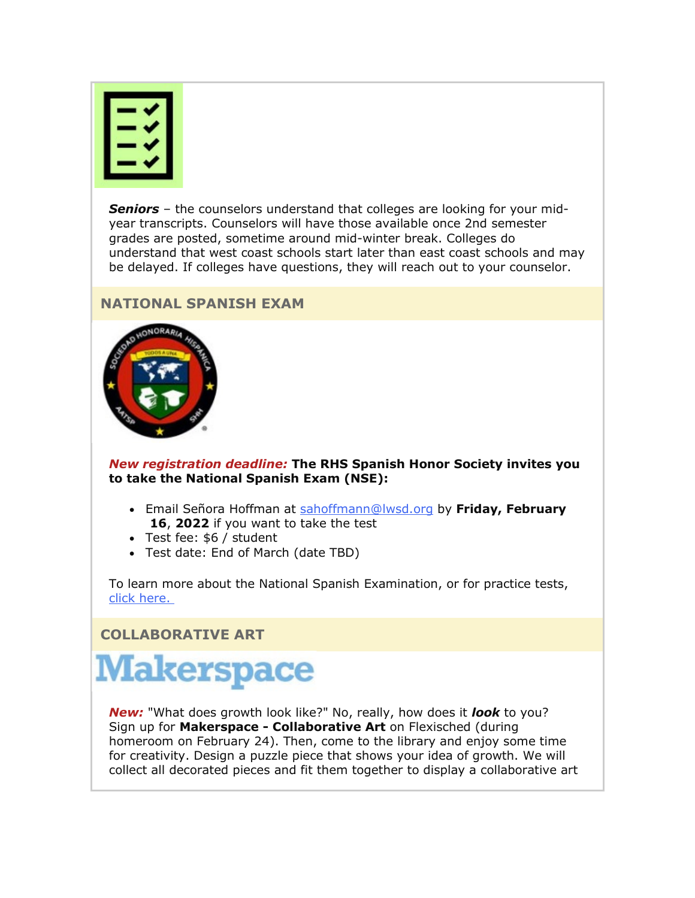*Seniors* – the counselors understand that colleges are looking for your midyear transcripts. Counselors will have those available once 2nd semester grades are posted, sometime around mid-winter break. Colleges do understand that west coast schools start later than east coast schools and may be delayed. If colleges have questions, they will reach out to your counselor.

# **NATIONAL SPANISH EXAM**



*New registration deadline:* **The RHS Spanish Honor Society invites you to take the National Spanish Exam (NSE):**

- Email Señora Hoffman at [sahoffmann@lwsd.org](mailto:sahoffmann@lwsd.org) by **Friday, February 16**, **2022** if you want to take the test
- Test fee: \$6 / student
- Test date: End of March (date TBD)

To learn more about the National Spanish Examination, or for practice tests, [click here.](https://nam02.safelinks.protection.outlook.com/?url=http%3A%2F%2Flink.email.dynect.net%2Flink.php%3FDynEngagement%3Dtrue%26H%3De%252BlHqQR4V3v4VMvJ3m0NDL9Oyn7EjMegyw%252Bn2w4NNScdI7r2YcSRy2YdWdBdlvVoZRf4TXbw4L7LOlkoByYYHW35iJb2bu5mS4SlNqTo7aG8GIjoneKOPg%253D%253D%26G%3D0%26R%3Dhttps%253A%252F%252FQYDSGYZTANA.hatchbuck.com%252FTrackLinkClick%253FID2%253DIT7IPmWr9YaWoXCxl2sJ6pRt4wtvpYj4RvQoazUPgP7lHzrUxtsVA-U_Oh06QupN0%26I%3D20220211233653.0000007a5c3e%2540smtp-ad2-50-phx%26X%3DMHwxMjY0OTIyOjI0NzkyMzUxOTY7MXwxMjY0OTIzOjE5NTQxNTMxMDs%253D%26V%3D3%26S%3DRBxvDCQTfexxV39CWEkSWunJnUC_84jA_15jkfcSdPA&data=04%7C01%7Cmwood%40lwsd.org%7C159159d8b3fd44a6279408d9edb76939%7C1fd4673fdf9646218638a1d88c4c85d7%7C0%7C0%7C637802194288883376%7CUnknown%7CTWFpbGZsb3d8eyJWIjoiMC4wLjAwMDAiLCJQIjoiV2luMzIiLCJBTiI6Ik1haWwiLCJXVCI6Mn0%3D%7C3000&sdata=00IZQ%2Fe7QYBC%2FsJg58fP7fSC73rTnQs1Py%2B5uxLd4kc%3D&reserved=0)

**COLLABORATIVE ART**

# **Makerspace**

*New:* "What does growth look like?" No, really, how does it *look* to you? Sign up for **Makerspace - Collaborative Art** on Flexisched (during homeroom on February 24). Then, come to the library and enjoy some time for creativity. Design a puzzle piece that shows your idea of growth. We will collect all decorated pieces and fit them together to display a collaborative art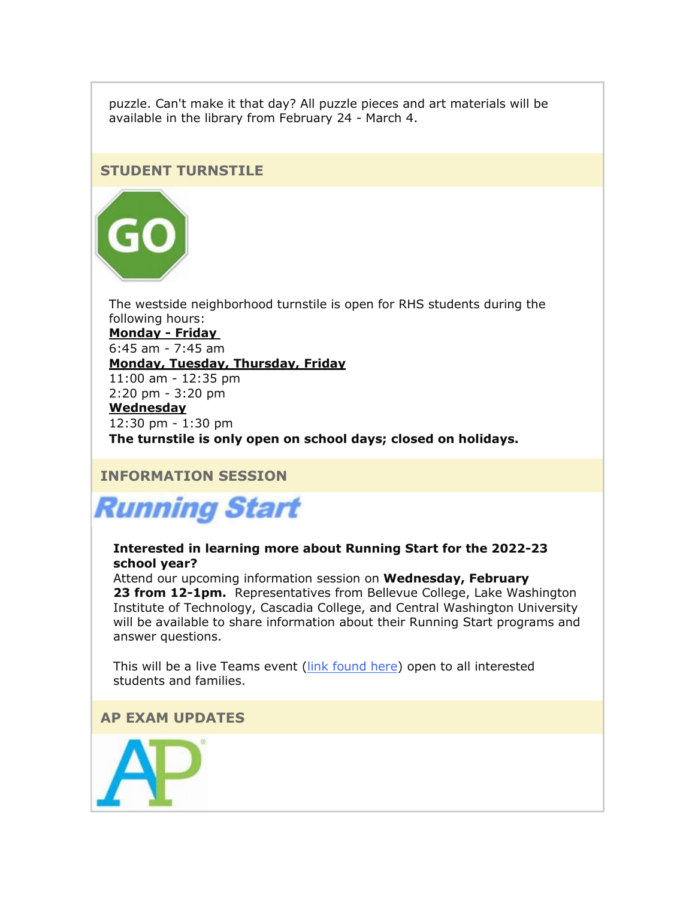puzzle. Can't make it that day? All puzzle pieces and art materials will be available in the library from February 24 - March 4.

#### **STUDENT TURNSTILE**



The westside neighborhood turnstile is open for RHS students during the following hours:

**Monday - Friday** 6:45 am - 7:45 am **Monday, Tuesday, Thursday, Friday**

11:00 am - 12:35 pm 2:20 pm - 3:20 pm

#### **Wednesday**

12:30 pm - 1:30 pm

**The turnstile is only open on school days; closed on holidays.** 

# **INFORMATION SESSION**



#### **Interested in learning more about Running Start for the 2022-23 school year?**

Attend our upcoming information session on **Wednesday, February 23 from 12-1pm.** Representatives from Bellevue College, Lake Washington Institute of Technology, Cascadia College, and Central Washington University will be available to share information about their Running Start programs and answer questions.

This will be a live Teams event [\(link found here\)](https://nam02.safelinks.protection.outlook.com/?url=http%3A%2F%2Flink.email.dynect.net%2Flink.php%3FDynEngagement%3Dtrue%26H%3De%252BlHqQR4V3v4VMvJ3m0NDL9Oyn7EjMegyw%252Bn2w4NNScdI7r2YcSRy2YdWdBdlvVoZRf4TXbw4L7LOlkoByYYHW35iJb2bu5mS4SlNqTo7aG8GIjoneKOPg%253D%253D%26G%3D0%26R%3Dhttps%253A%252F%252FQYDSGYZTANA.hatchbuck.com%252FTrackLinkClick%253FID2%253DCB2jRjdOwENdqqGNMt7BqUQZo_Z1Vym76oQTHLzNC5gaxb_MrJ5u3aVsnRgq133C0%26I%3D20220211233653.0000007a5c3e%2540smtp-ad2-50-phx%26X%3DMHwxMjY0OTIyOjI0NzkyMzUxOTY7MXwxMjY0OTIzOjE5NTQxNTMxMDs%253D%26V%3D3%26S%3Dtd1ZVOwwO8fHW5wuc2Bo9nERixzGn3cFbPN0WjiwyVA&data=04%7C01%7Cmwood%40lwsd.org%7C159159d8b3fd44a6279408d9edb76939%7C1fd4673fdf9646218638a1d88c4c85d7%7C0%7C0%7C637802194288883376%7CUnknown%7CTWFpbGZsb3d8eyJWIjoiMC4wLjAwMDAiLCJQIjoiV2luMzIiLCJBTiI6Ik1haWwiLCJXVCI6Mn0%3D%7C3000&sdata=oXuyJqla%2FOVvUXC8nJg9AI7awCU4Bb%2BeMiHHIqhuryE%3D&reserved=0) open to all interested students and families.

## **AP EXAM UPDATES**

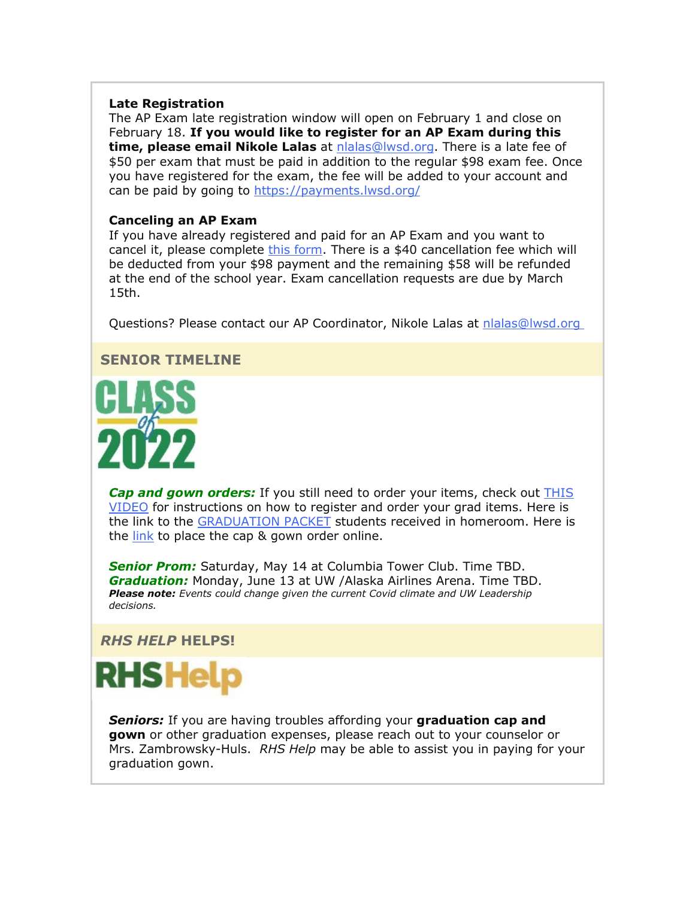#### **Late Registration**

The AP Exam late registration window will open on February 1 and close on February 18. **If you would like to register for an AP Exam during this time, please email Nikole Lalas** at [nlalas@lwsd.org.](mailto:nlalas@lwsd.org) There is a late fee of \$50 per exam that must be paid in addition to the regular \$98 exam fee. Once you have registered for the exam, the fee will be added to your account and can be paid by going to [https://payments.lwsd.org/](https://nam02.safelinks.protection.outlook.com/?url=http%3A%2F%2Flink.email.dynect.net%2Flink.php%3FDynEngagement%3Dtrue%26H%3De%252BlHqQR4V3v4VMvJ3m0NDL9Oyn7EjMegyw%252Bn2w4NNScdI7r2YcSRy2YdWdBdlvVoZRf4TXbw4L7LOlkoByYYHW35iJb2bu5mS4SlNqTo7aG8GIjoneKOPg%253D%253D%26G%3D0%26R%3Dhttps%253A%252F%252FQYDSGYZTANA.hatchbuck.com%252FTrackLinkClick%253FID2%253Dp6VtgKqXZwc02Mgu7X_S8SnD19JlshUUs7Rst5_ZflgnVCi_6I4mLJLeBfX2CAcM0%26I%3D20220211233653.0000007a5c3e%2540smtp-ad2-50-phx%26X%3DMHwxMjY0OTIyOjI0NzkyMzUxOTY7MXwxMjY0OTIzOjE5NTQxNTMxMDs%253D%26V%3D3%26S%3DCbwQCuXnrqJknSXqOKRZNkmbLHMfDXmlpNQlmnZVzZU&data=04%7C01%7Cmwood%40lwsd.org%7C159159d8b3fd44a6279408d9edb76939%7C1fd4673fdf9646218638a1d88c4c85d7%7C0%7C0%7C637802194288883376%7CUnknown%7CTWFpbGZsb3d8eyJWIjoiMC4wLjAwMDAiLCJQIjoiV2luMzIiLCJBTiI6Ik1haWwiLCJXVCI6Mn0%3D%7C3000&sdata=EE8NZikK7ROBX6Q2iwFCtwZvCwobbtb4fTI%2BqO%2F9i64%3D&reserved=0)

#### **Canceling an AP Exam**

If you have already registered and paid for an AP Exam and you want to cancel it, please complete [this form.](https://nam02.safelinks.protection.outlook.com/?url=http%3A%2F%2Flink.email.dynect.net%2Flink.php%3FDynEngagement%3Dtrue%26H%3De%252BlHqQR4V3v4VMvJ3m0NDL9Oyn7EjMegyw%252Bn2w4NNScdI7r2YcSRy2YdWdBdlvVoZRf4TXbw4L7LOlkoByYYHW35iJb2bu5mS4SlNqTo7aG8GIjoneKOPg%253D%253D%26G%3D0%26R%3Dhttps%253A%252F%252FQYDSGYZTANA.hatchbuck.com%252FTrackLinkClick%253FID2%253Ddcdce5tUp_UBgW9ireg-HO1uULQsyflvmTldo5cN7xIxjXN8lUFk3imLuX7XJzMJ0%26I%3D20220211233653.0000007a5c3e%2540smtp-ad2-50-phx%26X%3DMHwxMjY0OTIyOjI0NzkyMzUxOTY7MXwxMjY0OTIzOjE5NTQxNTMxMDs%253D%26V%3D3%26S%3DQHnUBJp83kG4cNMrzfPsV5zMT45lE8KKHNAI9O0DL2c&data=04%7C01%7Cmwood%40lwsd.org%7C159159d8b3fd44a6279408d9edb76939%7C1fd4673fdf9646218638a1d88c4c85d7%7C0%7C0%7C637802194288883376%7CUnknown%7CTWFpbGZsb3d8eyJWIjoiMC4wLjAwMDAiLCJQIjoiV2luMzIiLCJBTiI6Ik1haWwiLCJXVCI6Mn0%3D%7C3000&sdata=N0c69s1zEYF9316s26jjWsj155a6JVZo37iyskPVGk4%3D&reserved=0) There is a \$40 cancellation fee which will be deducted from your \$98 payment and the remaining \$58 will be refunded at the end of the school year. Exam cancellation requests are due by March 15th.

Questions? Please contact our AP Coordinator, Nikole Lalas at [nlalas@lwsd.org](mailto:nlalas@lwsd.org)

#### **SENIOR TIMELINE**



**Cap and gown orders:** If you still need to order your items, check out **THIS** [VIDEO](https://nam02.safelinks.protection.outlook.com/?url=http%3A%2F%2Flink.email.dynect.net%2Flink.php%3FDynEngagement%3Dtrue%26H%3De%252BlHqQR4V3v4VMvJ3m0NDL9Oyn7EjMegyw%252Bn2w4NNScdI7r2YcSRy2YdWdBdlvVoZRf4TXbw4L7LOlkoByYYHW35iJb2bu5mS4SlNqTo7aG8GIjoneKOPg%253D%253D%26G%3D0%26R%3Dhttps%253A%252F%252FQYDSGYZTANA.hatchbuck.com%252FTrackLinkClick%253FID2%253DhKD_r78G5PdTdjaNwSf3i4gvMiVCfLLCXP_THp4iMP-Ed-cO9KDn74F8Bcg4AT_Q0%26I%3D20220211233653.0000007a5c3e%2540smtp-ad2-50-phx%26X%3DMHwxMjY0OTIyOjI0NzkyMzUxOTY7MXwxMjY0OTIzOjE5NTQxNTMxMDs%253D%26V%3D3%26S%3DSwlr4JVKvn4LoONKnJIavUCQPmNDdk7yCeoXt3k9ta8&data=04%7C01%7Cmwood%40lwsd.org%7C159159d8b3fd44a6279408d9edb76939%7C1fd4673fdf9646218638a1d88c4c85d7%7C0%7C0%7C637802194288883376%7CUnknown%7CTWFpbGZsb3d8eyJWIjoiMC4wLjAwMDAiLCJQIjoiV2luMzIiLCJBTiI6Ik1haWwiLCJXVCI6Mn0%3D%7C3000&sdata=y%2BPk3phGR7U6WTM0DhibYDQ8fQ%2B1veKqfllTApaHE0Y%3D&reserved=0) for instructions on how to register and order your grad items. Here is the link to the [GRADUATION PACKET](https://nam02.safelinks.protection.outlook.com/?url=http%3A%2F%2Flink.email.dynect.net%2Flink.php%3FDynEngagement%3Dtrue%26H%3De%252BlHqQR4V3v4VMvJ3m0NDL9Oyn7EjMegyw%252Bn2w4NNScdI7r2YcSRy2YdWdBdlvVoZRf4TXbw4L7LOlkoByYYHW35iJb2bu5mS4SlNqTo7aG8GIjoneKOPg%253D%253D%26G%3D0%26R%3Dhttps%253A%252F%252FQYDSGYZTANA.hatchbuck.com%252FTrackLinkClick%253FID2%253DOh7C_fitAKw5wK_dZ6WJkHhVy7gMwnQfxxT2O3FOB1DJxgeTUmXt8qe1TI1bxBi70%26I%3D20220211233653.0000007a5c3e%2540smtp-ad2-50-phx%26X%3DMHwxMjY0OTIyOjI0NzkyMzUxOTY7MXwxMjY0OTIzOjE5NTQxNTMxMDs%253D%26V%3D3%26S%3D6_naBzi5A0B-DF2octoi6944sDS9MJL7cfBlJuy7aAY&data=04%7C01%7Cmwood%40lwsd.org%7C159159d8b3fd44a6279408d9edb76939%7C1fd4673fdf9646218638a1d88c4c85d7%7C0%7C0%7C637802194288883376%7CUnknown%7CTWFpbGZsb3d8eyJWIjoiMC4wLjAwMDAiLCJQIjoiV2luMzIiLCJBTiI6Ik1haWwiLCJXVCI6Mn0%3D%7C3000&sdata=NDfw0PnERF84AcFm9HWxsEYONBqXjpzubXL2PfjwlAs%3D&reserved=0) students received in homeroom. Here is the  $link$  to place the cap & gown order online.

*Senior Prom:* Saturday, May 14 at Columbia Tower Club. Time TBD. *Graduation:* Monday, June 13 at UW /Alaska Airlines Arena. Time TBD. *Please note: Events could change given the current Covid climate and UW Leadership decisions.* 

#### *RHS HELP* **HELPS!**



*Seniors:* If you are having troubles affording your **graduation cap and gown** or other graduation expenses, please reach out to your counselor or Mrs. Zambrowsky-Huls. *RHS Help* may be able to assist you in paying for your graduation gown.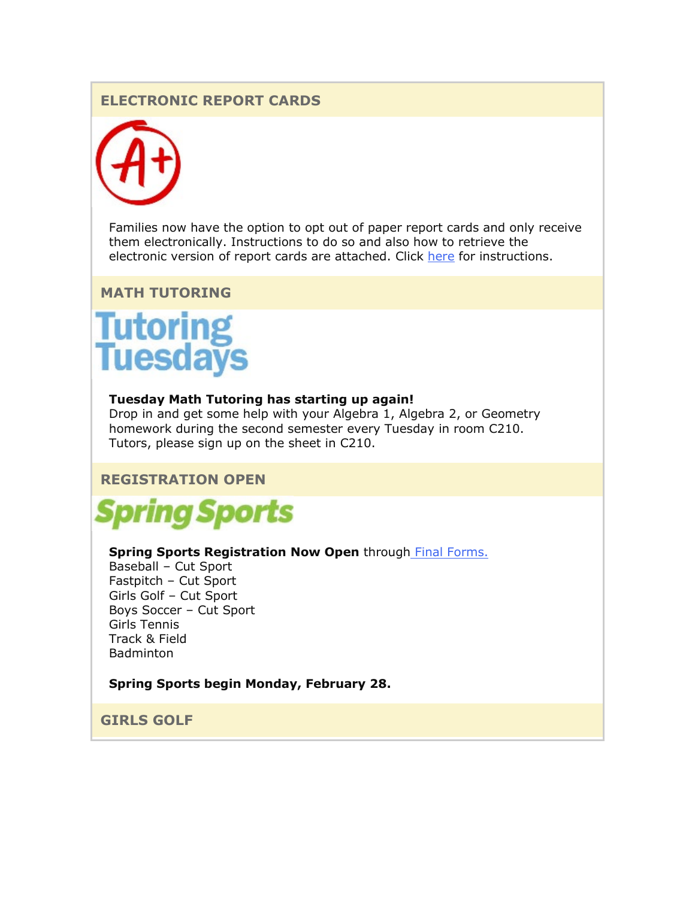# **ELECTRONIC REPORT CARDS**



Families now have the option to opt out of paper report cards and only receive them electronically. Instructions to do so and also how to retrieve the electronic version of report cards are attached. Click [here](https://nam02.safelinks.protection.outlook.com/?url=http%3A%2F%2Flink.email.dynect.net%2Flink.php%3FDynEngagement%3Dtrue%26H%3De%252BlHqQR4V3v4VMvJ3m0NDL9Oyn7EjMegyw%252Bn2w4NNScdI7r2YcSRy2YdWdBdlvVoZRf4TXbw4L7LOlkoByYYHW35iJb2bu5mS4SlNqTo7aG8GIjoneKOPg%253D%253D%26G%3D0%26R%3Dhttps%253A%252F%252FQYDSGYZTANA.hatchbuck.com%252FTrackLinkClick%253FID2%253D8OJCeVlQH5pn2vnaRonMlarBYVTjHXJNvjqI4zcLLRYEvX3c1DT6ldRrsnWslMdr0%26I%3D20220211233653.0000007a5c3e%2540smtp-ad2-50-phx%26X%3DMHwxMjY0OTIyOjI0NzkyMzUxOTY7MXwxMjY0OTIzOjE5NTQxNTMxMDs%253D%26V%3D3%26S%3DXAOcuJunzwjOQSPgjXEJ5OjTrAKHzX63akI-XUxkLZg&data=04%7C01%7Cmwood%40lwsd.org%7C159159d8b3fd44a6279408d9edb76939%7C1fd4673fdf9646218638a1d88c4c85d7%7C0%7C0%7C637802194288883376%7CUnknown%7CTWFpbGZsb3d8eyJWIjoiMC4wLjAwMDAiLCJQIjoiV2luMzIiLCJBTiI6Ik1haWwiLCJXVCI6Mn0%3D%7C3000&sdata=5sjPcQqp2sBqzD7MwpE9a0B0DbScoFiGH1QKBOu8Q5Q%3D&reserved=0) for instructions.

#### **MATH TUTORING**

# **Tutoring<br>Tuesdays**

#### **Tuesday Math Tutoring has starting up again!**

Drop in and get some help with your Algebra 1, Algebra 2, or Geometry homework during the second semester every Tuesday in room C210. Tutors, please sign up on the sheet in C210.

#### **REGISTRATION OPEN**



#### **Spring Sports Registration Now Open** through [Final Forms.](https://nam02.safelinks.protection.outlook.com/?url=http%3A%2F%2Flink.email.dynect.net%2Flink.php%3FDynEngagement%3Dtrue%26H%3De%252BlHqQR4V3v4VMvJ3m0NDL9Oyn7EjMegyw%252Bn2w4NNScdI7r2YcSRy2YdWdBdlvVoZRf4TXbw4L7LOlkoByYYHW35iJb2bu5mS4SlNqTo7aG8GIjoneKOPg%253D%253D%26G%3D0%26R%3Dhttps%253A%252F%252FQYDSGYZTANA.hatchbuck.com%252FTrackLinkClick%253FID2%253DebE-1UDKG2ACdMR4V6SGVs3GFO0FbVOL1dF8A0YF8Yld6fWIbwXZ16Cp_EcsJPpr0%26I%3D20220211233653.0000007a5c3e%2540smtp-ad2-50-phx%26X%3DMHwxMjY0OTIyOjI0NzkyMzUxOTY7MXwxMjY0OTIzOjE5NTQxNTMxMDs%253D%26V%3D3%26S%3DmwdZETbel829Xo_X7lgtNriX9yLBAa7zjX6E7Ki5Z5M&data=04%7C01%7Cmwood%40lwsd.org%7C159159d8b3fd44a6279408d9edb76939%7C1fd4673fdf9646218638a1d88c4c85d7%7C0%7C0%7C637802194288883376%7CUnknown%7CTWFpbGZsb3d8eyJWIjoiMC4wLjAwMDAiLCJQIjoiV2luMzIiLCJBTiI6Ik1haWwiLCJXVCI6Mn0%3D%7C3000&sdata=bhm6TmmdcB8%2FcqdFP7XsaDZL4kusntEepd2O1uoouNw%3D&reserved=0)

Baseball – Cut Sport Fastpitch – Cut Sport Girls Golf – Cut Sport Boys Soccer – Cut Sport Girls Tennis Track & Field Badminton

#### **Spring Sports begin Monday, February 28.**

**GIRLS GOLF**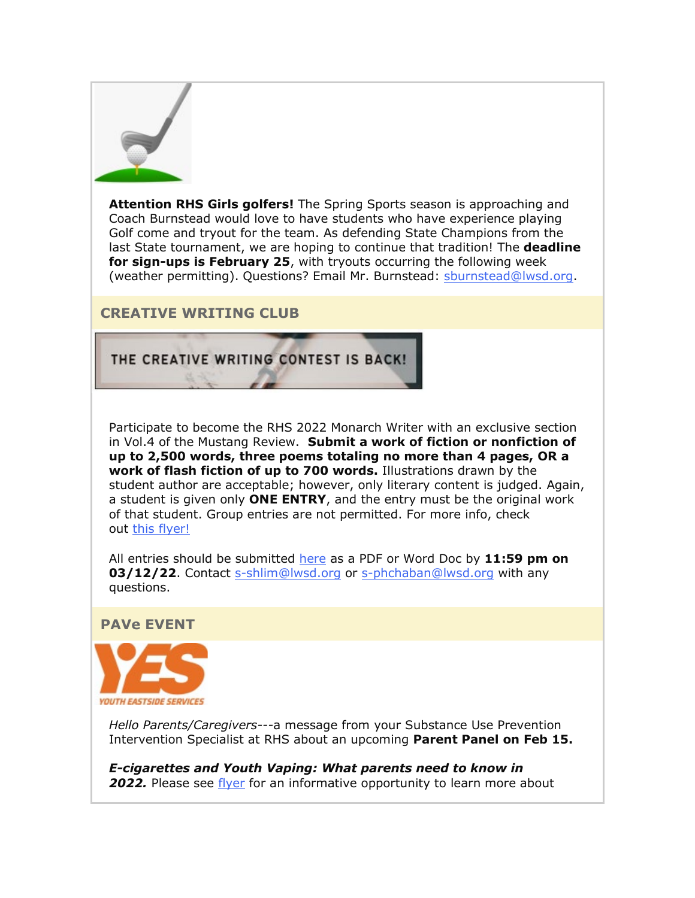

**Attention RHS Girls golfers!** The Spring Sports season is approaching and Coach Burnstead would love to have students who have experience playing Golf come and tryout for the team. As defending State Champions from the last State tournament, we are hoping to continue that tradition! The **deadline for sign-ups is February 25**, with tryouts occurring the following week (weather permitting). Questions? Email Mr. Burnstead: [sburnstead@lwsd.org.](mailto:sburnstead@lwsd.org)

# **CREATIVE WRITING CLUB**

# THE CREATIVE WRITING CONTEST IS BACK!

Participate to become the RHS 2022 Monarch Writer with an exclusive section in Vol.4 of the Mustang Review. **Submit a work of fiction or nonfiction of up to 2,500 words, three poems totaling no more than 4 pages, OR a work of flash fiction of up to 700 words.** Illustrations drawn by the student author are acceptable; however, only literary content is judged. Again, a student is given only **ONE ENTRY**, and the entry must be the original work of that student. Group entries are not permitted. For more info, check out this [flyer!](https://nam02.safelinks.protection.outlook.com/?url=http%3A%2F%2Flink.email.dynect.net%2Flink.php%3FDynEngagement%3Dtrue%26H%3De%252BlHqQR4V3v4VMvJ3m0NDL9Oyn7EjMegyw%252Bn2w4NNScdI7r2YcSRy2YdWdBdlvVoZRf4TXbw4L7LOlkoByYYHW35iJb2bu5mS4SlNqTo7aG8GIjoneKOPg%253D%253D%26G%3D0%26R%3Dhttps%253A%252F%252FQYDSGYZTANA.hatchbuck.com%252FTrackLinkClick%253FID2%253DAHF1-4Gez_v432PABqnmhLozY_ta5fYSa2wGgorsLi6SAznIxgIKFeCmHB070hEh0%26I%3D20220211233653.0000007a5c3e%2540smtp-ad2-50-phx%26X%3DMHwxMjY0OTIyOjI0NzkyMzUxOTY7MXwxMjY0OTIzOjE5NTQxNTMxMDs%253D%26V%3D3%26S%3Dl_7PxjTMdjVECahUIfCUD77HZr5hbboHcUi0-A0G1zg&data=04%7C01%7Cmwood%40lwsd.org%7C159159d8b3fd44a6279408d9edb76939%7C1fd4673fdf9646218638a1d88c4c85d7%7C0%7C0%7C637802194288883376%7CUnknown%7CTWFpbGZsb3d8eyJWIjoiMC4wLjAwMDAiLCJQIjoiV2luMzIiLCJBTiI6Ik1haWwiLCJXVCI6Mn0%3D%7C3000&sdata=Y94wFdb95lTBk8DPu8ldC4j0Gbx%2BLKUpaLlN7T8341c%3D&reserved=0)

All entries should be submitted [here](https://nam02.safelinks.protection.outlook.com/?url=http%3A%2F%2Flink.email.dynect.net%2Flink.php%3FDynEngagement%3Dtrue%26H%3De%252BlHqQR4V3v4VMvJ3m0NDL9Oyn7EjMegyw%252Bn2w4NNScdI7r2YcSRy2YdWdBdlvVoZRf4TXbw4L7LOlkoByYYHW35iJb2bu5mS4SlNqTo7aG8GIjoneKOPg%253D%253D%26G%3D0%26R%3Dhttps%253A%252F%252FQYDSGYZTANA.hatchbuck.com%252FTrackLinkClick%253FID2%253DS6Xe47q3jUAC20AYv6oweibPR3S7VhsxD-Ag_eWYkfheebRQqpFpl-V1Y3x0To670%26I%3D20220211233653.0000007a5c3e%2540smtp-ad2-50-phx%26X%3DMHwxMjY0OTIyOjI0NzkyMzUxOTY7MXwxMjY0OTIzOjE5NTQxNTMxMDs%253D%26V%3D3%26S%3DHDRJzlhbFz4Cpe4yWHRyjELIxCSqgLQcmpzoAouZ4tc&data=04%7C01%7Cmwood%40lwsd.org%7C159159d8b3fd44a6279408d9edb76939%7C1fd4673fdf9646218638a1d88c4c85d7%7C0%7C0%7C637802194288883376%7CUnknown%7CTWFpbGZsb3d8eyJWIjoiMC4wLjAwMDAiLCJQIjoiV2luMzIiLCJBTiI6Ik1haWwiLCJXVCI6Mn0%3D%7C3000&sdata=sWgBRGOk094iUW82TupttjTCZazO6tewDOUgI1R2eh8%3D&reserved=0) as a PDF or Word Doc by **11:59 pm on 03/12/22.** Contact [s-shlim@lwsd.org](mailto:s-shlim@lwsd.org) or [s-phchaban@lwsd.org](mailto:s-phchaban@lwsd.org) with any questions.

**PAVe EVENT**



*Hello Parents/Caregivers---*a message from your Substance Use Prevention Intervention Specialist at RHS about an upcoming **Parent Panel on Feb 15.**

*E-cigarettes and Youth Vaping: What parents need to know in*  **2022.** Please see [flyer](https://nam02.safelinks.protection.outlook.com/?url=http%3A%2F%2Flink.email.dynect.net%2Flink.php%3FDynEngagement%3Dtrue%26H%3De%252BlHqQR4V3v4VMvJ3m0NDL9Oyn7EjMegyw%252Bn2w4NNScdI7r2YcSRy2YdWdBdlvVoZRf4TXbw4L7LOlkoByYYHW35iJb2bu5mS4SlNqTo7aG8GIjoneKOPg%253D%253D%26G%3D0%26R%3Dhttps%253A%252F%252FQYDSGYZTANA.hatchbuck.com%252FTrackLinkClick%253FID2%253DrG4V4MUbsYc5oKuyOrOwlR7v7Ce-S-YMmZ-187nq1sBry4sy7T9yFmrZpmI62m-o0%26I%3D20220211233653.0000007a5c3e%2540smtp-ad2-50-phx%26X%3DMHwxMjY0OTIyOjI0NzkyMzUxOTY7MXwxMjY0OTIzOjE5NTQxNTMxMDs%253D%26V%3D3%26S%3DPn8w5esboHimvWSNpYq_KoLgWIV8XCcbpFYUxYLSMcA&data=04%7C01%7Cmwood%40lwsd.org%7C159159d8b3fd44a6279408d9edb76939%7C1fd4673fdf9646218638a1d88c4c85d7%7C0%7C0%7C637802194288883376%7CUnknown%7CTWFpbGZsb3d8eyJWIjoiMC4wLjAwMDAiLCJQIjoiV2luMzIiLCJBTiI6Ik1haWwiLCJXVCI6Mn0%3D%7C3000&sdata=DNWMCcPBhehUFCGMEiKmAv4%2FlPWrjZYctXdxVbXw7cE%3D&reserved=0) for an informative opportunity to learn more about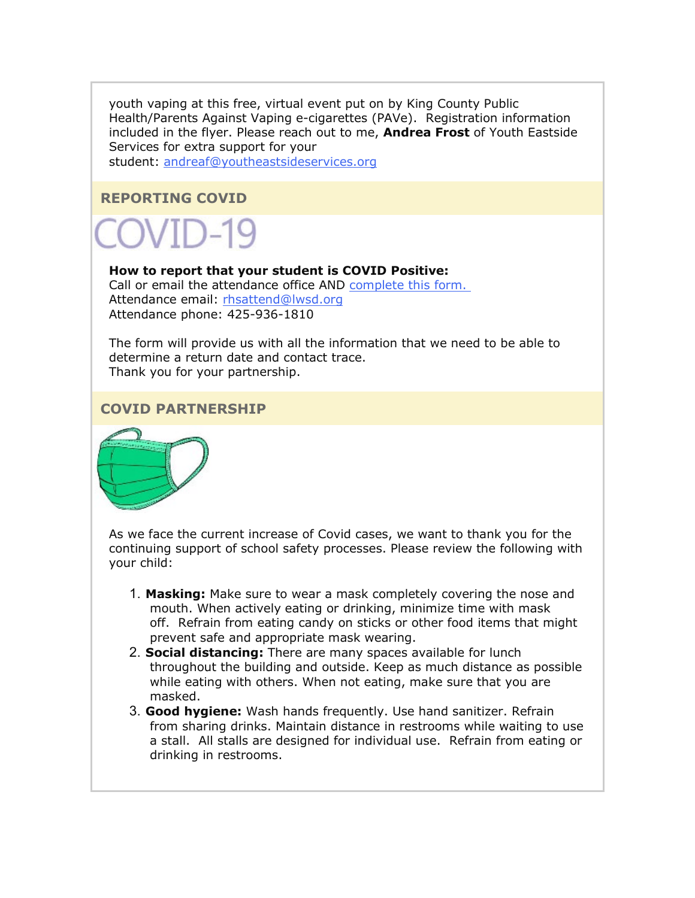youth vaping at this free, virtual event put on by King County Public Health/Parents Against Vaping e-cigarettes (PAVe). Registration information included in the flyer. Please reach out to me, **Andrea Frost** of Youth Eastside Services for extra support for your

student: [andreaf@youtheastsideservices.org](mailto:andreaf@youtheastsideservices.org)

#### **REPORTING COVID**

# $NID-19$

#### **How to report that your student is COVID Positive:**

Call or email the attendance office AND [complete this form](https://nam02.safelinks.protection.outlook.com/?url=http%3A%2F%2Flink.email.dynect.net%2Flink.php%3FDynEngagement%3Dtrue%26H%3De%252BlHqQR4V3v4VMvJ3m0NDL9Oyn7EjMegyw%252Bn2w4NNScdI7r2YcSRy2YdWdBdlvVoZRf4TXbw4L7LOlkoByYYHW35iJb2bu5mS4SlNqTo7aG8GIjoneKOPg%253D%253D%26G%3D0%26R%3Dhttps%253A%252F%252FQYDSGYZTANA.hatchbuck.com%252FTrackLinkClick%253FID2%253D-M9Yzlr3c79sKr12hnxrD5ZKVhyiQxG4Czgl6mBbjxi5QE4_ZYI_4sv4orARqXkM0%26I%3D20220211233653.0000007a5c3e%2540smtp-ad2-50-phx%26X%3DMHwxMjY0OTIyOjI0NzkyMzUxOTY7MXwxMjY0OTIzOjE5NTQxNTMxMDs%253D%26V%3D3%26S%3Da7zJlcvYyP601AMtcXd6PtOWj0syjiQFELxuMmkfl2o&data=04%7C01%7Cmwood%40lwsd.org%7C159159d8b3fd44a6279408d9edb76939%7C1fd4673fdf9646218638a1d88c4c85d7%7C0%7C0%7C637802194289039604%7CUnknown%7CTWFpbGZsb3d8eyJWIjoiMC4wLjAwMDAiLCJQIjoiV2luMzIiLCJBTiI6Ik1haWwiLCJXVCI6Mn0%3D%7C3000&sdata=inXEQ56MAjCtZrFolkBtQAYOxZDoe6LQ2FPkQQ8oxD4%3D&reserved=0)[.](https://nam02.safelinks.protection.outlook.com/?url=http%3A%2F%2Flink.email.dynect.net%2Flink.php%3FDynEngagement%3Dtrue%26H%3De%252BlHqQR4V3v4VMvJ3m0NDL9Oyn7EjMegyw%252Bn2w4NNScdI7r2YcSRy2YdWdBdlvVoZRf4TXbw4L7LOlkoByYYHW35iJb2bu5mS4SlNqTo7aG8GIjoneKOPg%253D%253D%26G%3D0%26R%3Dhttps%253A%252F%252FQYDSGYZTANA.hatchbuck.com%252FTrackLinkClick%253FID2%253DQ3oha2bAoC3GVKeb4a_kp1PCue_LBt721Sgiq88B5hu90hQ-TXLJGDWcjXG_PKgy0%26I%3D20220211233653.0000007a5c3e%2540smtp-ad2-50-phx%26X%3DMHwxMjY0OTIyOjI0NzkyMzUxOTY7MXwxMjY0OTIzOjE5NTQxNTMxMDs%253D%26V%3D3%26S%3D9JA8DWxq-NCMfq_AUiAABzk-M-mwWQ3j75fEo5X8WUE&data=04%7C01%7Cmwood%40lwsd.org%7C159159d8b3fd44a6279408d9edb76939%7C1fd4673fdf9646218638a1d88c4c85d7%7C0%7C0%7C637802194289039604%7CUnknown%7CTWFpbGZsb3d8eyJWIjoiMC4wLjAwMDAiLCJQIjoiV2luMzIiLCJBTiI6Ik1haWwiLCJXVCI6Mn0%3D%7C3000&sdata=M6%2B%2FQALdrwUz1UGaaGG34OwhvvXbGBxINOz8S94MtXM%3D&reserved=0) Attendance email: [rhsattend@lwsd.org](mailto:rhsattend@lwsd.org) Attendance phone: 425-936-1810

The form will provide us with all the information that we need to be able to determine a return date and contact trace. Thank you for your partnership.

#### **COVID PARTNERSHIP**



As we face the current increase of Covid cases, we want to thank you for the continuing support of school safety processes. Please review the following with your child:

- 1. **Masking:** Make sure to wear a mask completely covering the nose and mouth. When actively eating or drinking, minimize time with mask off. Refrain from eating candy on sticks or other food items that might prevent safe and appropriate mask wearing.
- 2. **Social distancing:** There are many spaces available for lunch throughout the building and outside. Keep as much distance as possible while eating with others. When not eating, make sure that you are masked.
- 3. **Good hygiene:** Wash hands frequently. Use hand sanitizer. Refrain from sharing drinks. Maintain distance in restrooms while waiting to use a stall. All stalls are designed for individual use. Refrain from eating or drinking in restrooms.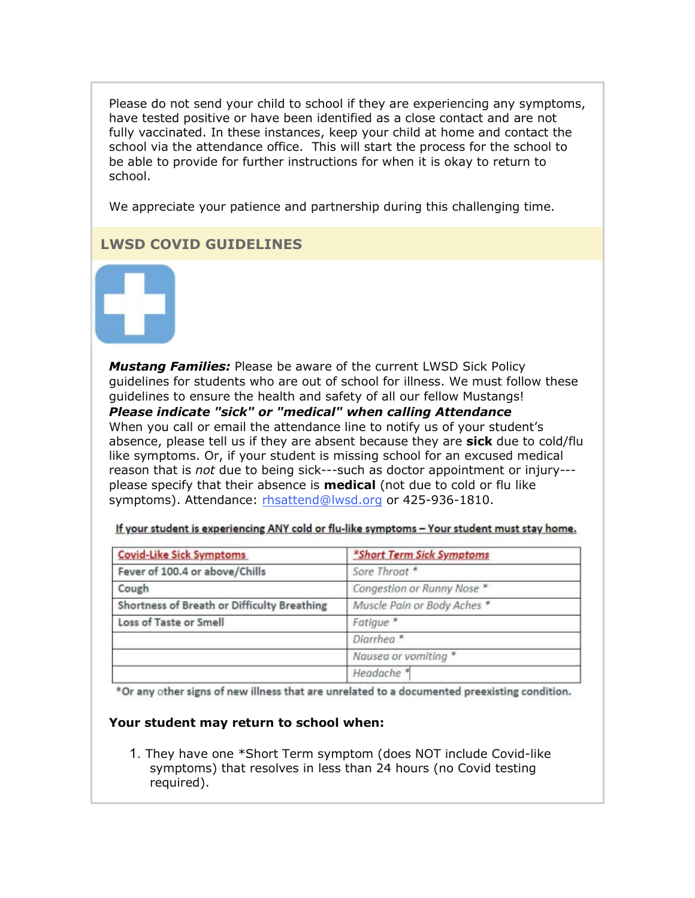Please do not send your child to school if they are experiencing any symptoms, have tested positive or have been identified as a close contact and are not fully vaccinated. In these instances, keep your child at home and contact the school via the attendance office. This will start the process for the school to be able to provide for further instructions for when it is okay to return to school.

We appreciate your patience and partnership during this challenging time.

# **LWSD COVID GUIDELINES**



*Mustang Families:* Please be aware of the current LWSD Sick Policy guidelines for students who are out of school for illness. We must follow these guidelines to ensure the health and safety of all our fellow Mustangs! *Please indicate "sick" or "medical" when calling Attendance* When you call or email the attendance line to notify us of your student's absence, please tell us if they are absent because they are **sick** due to cold/flu like symptoms. Or, if your student is missing school for an excused medical reason that is *not* due to being sick---such as doctor appointment or injury-- please specify that their absence is **medical** (not due to cold or flu like symptoms). Attendance: [rhsattend@lwsd.org](mailto:rhsattend@lwsd.org) or 425-936-1810.

| <b>Covid-Like Sick Symptoms</b>             | *Short Term Sick Symptoms   |
|---------------------------------------------|-----------------------------|
| Fever of 100.4 or above/Chills              | Sore Throat *               |
| Cough                                       | Congestion or Runny Nose *  |
| Shortness of Breath or Difficulty Breathing | Muscle Pain or Body Aches * |
| Loss of Taste or Smell                      | Fatigue <sup>*</sup>        |
|                                             | Diarrhea <sup>*</sup>       |
|                                             | Nausea or vomiting *        |
|                                             | Headache <sup>*</sup>       |

If your student is experiencing ANY cold or flu-like symptoms - Your student must stay home.

\*Or any other signs of new illness that are unrelated to a documented preexisting condition.

#### **Your student may return to school when:**

1. They have one \*Short Term symptom (does NOT include Covid-like symptoms) that resolves in less than 24 hours (no Covid testing required).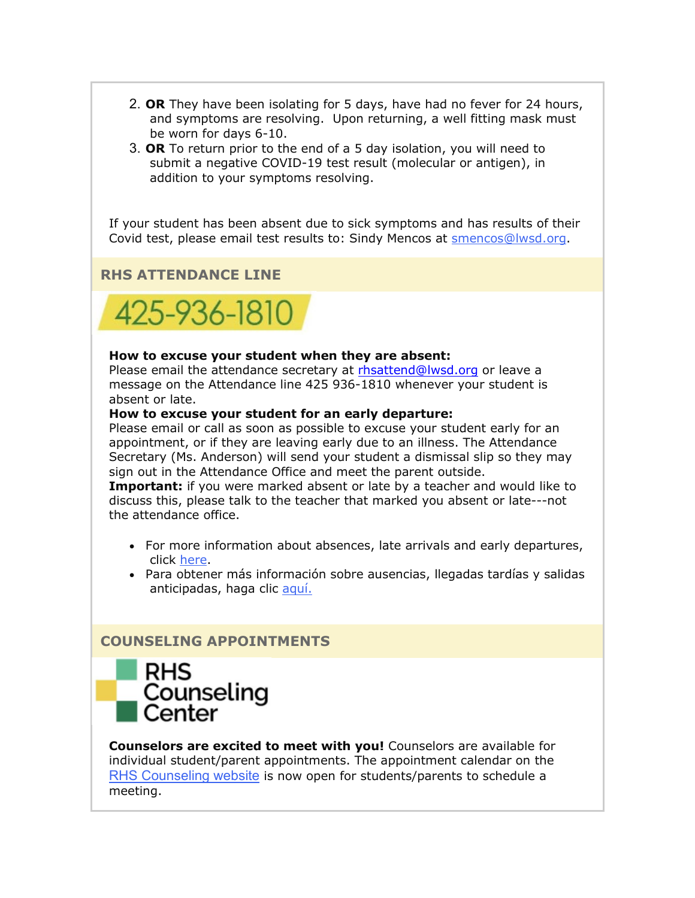- 2. **OR** They have been isolating for 5 days, have had no fever for 24 hours, and symptoms are resolving. Upon returning, a well fitting mask must be worn for days 6-10.
- 3. **OR** To return prior to the end of a 5 day isolation, you will need to submit a negative COVID-19 test result (molecular or antigen), in addition to your symptoms resolving.

If your student has been absent due to sick symptoms and has results of their Covid test, please email test results to: Sindy Mencos at [smencos@lwsd.org.](mailto:smencos@lwsd.org)

# **RHS ATTENDANCE LINE**



#### **How to excuse your student when they are absent:**

Please email the attendance secretary at [rhsattend@lwsd.org](mailto:rhsattend@lwsd.org) or leave a message on the Attendance line 425 936-1810 whenever your student is absent or late.

#### **How to excuse your student for an early departure:**

Please email or call as soon as possible to excuse your student early for an appointment, or if they are leaving early due to an illness. The Attendance Secretary (Ms. Anderson) will send your student a dismissal slip so they may sign out in the Attendance Office and meet the parent outside.

**Important:** if you were marked absent or late by a teacher and would like to discuss this, please talk to the teacher that marked you absent or late---not the attendance office.

- For more information about absences, late arrivals and early departures, click [here.](https://nam02.safelinks.protection.outlook.com/?url=http%3A%2F%2Flink.email.dynect.net%2Flink.php%3FDynEngagement%3Dtrue%26H%3De%252BlHqQR4V3v4VMvJ3m0NDL9Oyn7EjMegyw%252Bn2w4NNScdI7r2YcSRy2YdWdBdlvVoZRf4TXbw4L7LOlkoByYYHW35iJb2bu5mS4SlNqTo7aG8GIjoneKOPg%253D%253D%26G%3D0%26R%3Dhttps%253A%252F%252FQYDSGYZTANA.hatchbuck.com%252FTrackLinkClick%253FID2%253DuButQgnBxuh9vvOgqC6upPSpr-VTcnnkA2jEjzgp39-uv4eNWTFcs14utkvKeWcX0%26I%3D20220211233653.0000007a5c3e%2540smtp-ad2-50-phx%26X%3DMHwxMjY0OTIyOjI0NzkyMzUxOTY7MXwxMjY0OTIzOjE5NTQxNTMxMDs%253D%26V%3D3%26S%3Dci75ITkcp3VSusDJaK08iC1Rk0TKaqMGBJuQZCMFiRQ&data=04%7C01%7Cmwood%40lwsd.org%7C159159d8b3fd44a6279408d9edb76939%7C1fd4673fdf9646218638a1d88c4c85d7%7C0%7C0%7C637802194289039604%7CUnknown%7CTWFpbGZsb3d8eyJWIjoiMC4wLjAwMDAiLCJQIjoiV2luMzIiLCJBTiI6Ik1haWwiLCJXVCI6Mn0%3D%7C3000&sdata=R3u2mOEEdD5VQXkrUliOVqzB8P86A2Y%2BtBpXDwvbkdw%3D&reserved=0)
- Para obtener más información sobre ausencias, llegadas tardías y salidas anticipadas, haga clic [aquí.](https://nam02.safelinks.protection.outlook.com/?url=http%3A%2F%2Flink.email.dynect.net%2Flink.php%3FDynEngagement%3Dtrue%26H%3De%252BlHqQR4V3v4VMvJ3m0NDL9Oyn7EjMegyw%252Bn2w4NNScdI7r2YcSRy2YdWdBdlvVoZRf4TXbw4L7LOlkoByYYHW35iJb2bu5mS4SlNqTo7aG8GIjoneKOPg%253D%253D%26G%3D0%26R%3Dhttps%253A%252F%252FQYDSGYZTANA.hatchbuck.com%252FTrackLinkClick%253FID2%253DZ109SSf0yJaqLtt_V_kADVpodotcs2RRdEU-Jv2nyr0XyjqDz7zw-I31clW8-L4K0%26I%3D20220211233653.0000007a5c3e%2540smtp-ad2-50-phx%26X%3DMHwxMjY0OTIyOjI0NzkyMzUxOTY7MXwxMjY0OTIzOjE5NTQxNTMxMDs%253D%26V%3D3%26S%3DQfaIzu90hLp5Rzz5CQohmxiJNZ3mJNKWPiljVQg2Mz0&data=04%7C01%7Cmwood%40lwsd.org%7C159159d8b3fd44a6279408d9edb76939%7C1fd4673fdf9646218638a1d88c4c85d7%7C0%7C0%7C637802194289039604%7CUnknown%7CTWFpbGZsb3d8eyJWIjoiMC4wLjAwMDAiLCJQIjoiV2luMzIiLCJBTiI6Ik1haWwiLCJXVCI6Mn0%3D%7C3000&sdata=uhIR36uXzTkXDO3mv8dv8fgMN%2B0rptF8EdAJ3EDZmAc%3D&reserved=0)

#### **COUNSELING APPOINTMENTS**



**Counselors are excited to meet with you!** Counselors are available for individual student/parent appointments. The appointment calendar on the [RHS Counseling website](https://nam02.safelinks.protection.outlook.com/?url=http%3A%2F%2Flink.email.dynect.net%2Flink.php%3FDynEngagement%3Dtrue%26H%3De%252BlHqQR4V3v4VMvJ3m0NDL9Oyn7EjMegyw%252Bn2w4NNScdI7r2YcSRy2YdWdBdlvVoZRf4TXbw4L7LOlkoByYYHW35iJb2bu5mS4SlNqTo7aG8GIjoneKOPg%253D%253D%26G%3D0%26R%3Dhttps%253A%252F%252FQYDSGYZTANA.hatchbuck.com%252FTrackLinkClick%253FID2%253Dr3yLeNzBnoF0lj5wZ-7ZmclfGWaQ-pDs3mDHbGk44LbQw1DDD33Xgnrqi6b59wDB0%26I%3D20220211233653.0000007a5c3e%2540smtp-ad2-50-phx%26X%3DMHwxMjY0OTIyOjI0NzkyMzUxOTY7MXwxMjY0OTIzOjE5NTQxNTMxMDs%253D%26V%3D3%26S%3DDhV8pr-987DGvbIdNvVLpHewAbhc542CoQSYwBW4VGE&data=04%7C01%7Cmwood%40lwsd.org%7C159159d8b3fd44a6279408d9edb76939%7C1fd4673fdf9646218638a1d88c4c85d7%7C0%7C0%7C637802194289039604%7CUnknown%7CTWFpbGZsb3d8eyJWIjoiMC4wLjAwMDAiLCJQIjoiV2luMzIiLCJBTiI6Ik1haWwiLCJXVCI6Mn0%3D%7C3000&sdata=IQnU5HzzxR2jesF8LZcMP%2Br3T%2BesSKYNuu1rCvXm4DQ%3D&reserved=0) is now open for students/parents to schedule a meeting.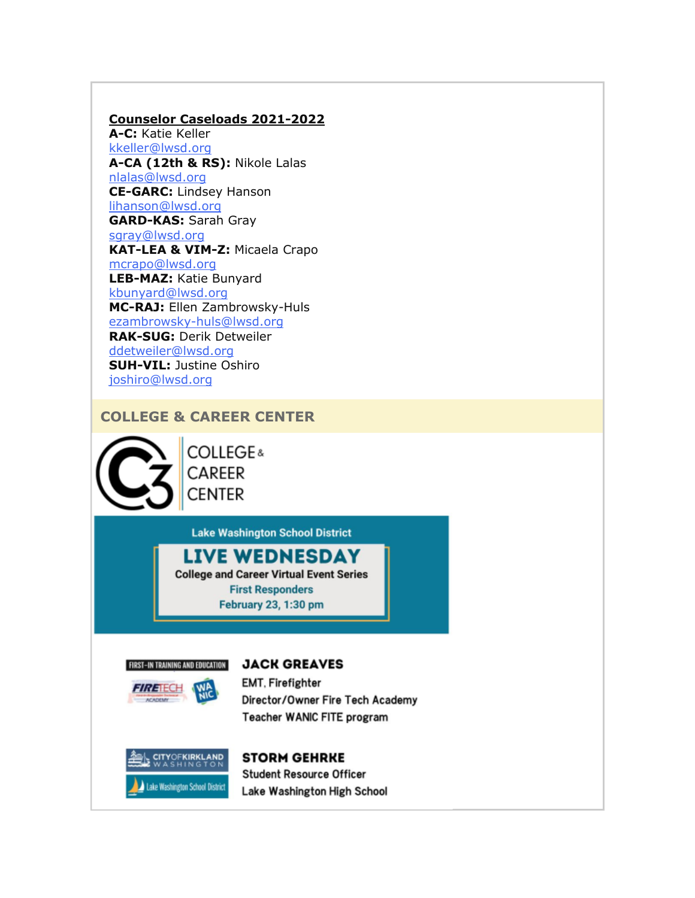#### **Counselor Caseloads 2021-2022**

**A-C:** Katie Keller [kkeller@lwsd.org](mailto:kkeller@lwsd.org) **A-CA (12th & RS):** Nikole Lalas [nlalas@lwsd.org](mailto:nlalas@lwsd.org) **CE-GARC:** Lindsey Hanson [lihanson@lwsd.org](mailto:lihanson@lwsd.org) **GARD-KAS:** Sarah Gray [sgray@lwsd.org](mailto:sgray@lwsd.org) **KAT-LEA & VIM-Z:** Micaela Crapo [mcrapo@lwsd.org](mailto:mcrapo@lwsd.org) **LEB-MAZ:** Katie Bunyard [kbunyard@lwsd.org](mailto:Kbunyard@lwsd.org) **MC-RAJ:** Ellen Zambrowsky-Huls [ezambrowsky-huls@lwsd.org](mailto:Ezambrowsky-huls@lwsd.org) **RAK-SUG:** Derik Detweiler [ddetweiler@lwsd.org](mailto:ddetweiler@lwsd.org) **SUH-VIL:** Justine Oshiro [joshiro@lwsd.org](mailto:joshiro@lwsd.org)

#### **COLLEGE & CAREER CENTER**



**COLLEGE& CAREER CENTER** 

**Lake Washington School District** 

# **LIVE WEDNESDAY**

**College and Career Virtual Event Series First Responders** February 23, 1:30 pm



*FIRETECH* 

#### **JACK GREAVES**

**EMT, Firefighter** Director/Owner Fire Tech Academy Teacher WANIC FITE program



#### **STORM GEHRKE**

**Student Resource Officer** Lake Washington High School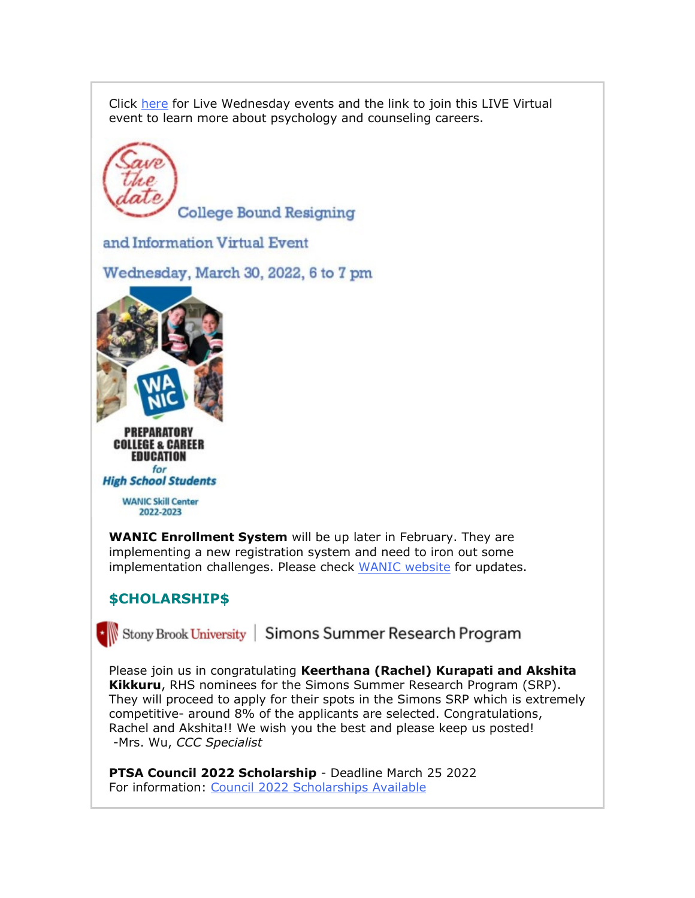Click [here](https://nam02.safelinks.protection.outlook.com/?url=http%3A%2F%2Flink.email.dynect.net%2Flink.php%3FDynEngagement%3Dtrue%26H%3De%252BlHqQR4V3v4VMvJ3m0NDL9Oyn7EjMegyw%252Bn2w4NNScdI7r2YcSRy2YdWdBdlvVoZRf4TXbw4L7LOlkoByYYHW35iJb2bu5mS4SlNqTo7aG8GIjoneKOPg%253D%253D%26G%3D0%26R%3Dhttps%253A%252F%252FQYDSGYZTANA.hatchbuck.com%252FTrackLinkClick%253FID2%253DnFyhkUOhAVzfdUT3j2KnkTGZ-r1IS8mM5OE4ZWwH6Ju0OYcG6NM3xh6JbwgK51Or0%26I%3D20220211233653.0000007a5c3e%2540smtp-ad2-50-phx%26X%3DMHwxMjY0OTIyOjI0NzkyMzUxOTY7MXwxMjY0OTIzOjE5NTQxNTMxMDs%253D%26V%3D3%26S%3DpyAlRCILJ-n0Jvz_0hBd-S-atgbU2zITNNJwP3RDdiE&data=04%7C01%7Cmwood%40lwsd.org%7C159159d8b3fd44a6279408d9edb76939%7C1fd4673fdf9646218638a1d88c4c85d7%7C0%7C0%7C637802194289039604%7CUnknown%7CTWFpbGZsb3d8eyJWIjoiMC4wLjAwMDAiLCJQIjoiV2luMzIiLCJBTiI6Ik1haWwiLCJXVCI6Mn0%3D%7C3000&sdata=rTe9PLVTxhRYBZ9airzP5ibRTfw8RNYkaDzZoKaMc5Y%3D&reserved=0) for Live Wednesday events and the link to join this LIVE Virtual event to learn more about psychology and counseling careers.



# **\$CHOLARSHIP\$**

\* Stony Brook University | Simons Summer Research Program

Please join us in congratulating **Keerthana (Rachel) Kurapati and Akshita Kikkuru**, RHS nominees for the Simons Summer Research Program (SRP). They will proceed to apply for their spots in the Simons SRP which is extremely competitive- around 8% of the applicants are selected. Congratulations, Rachel and Akshita!! We wish you the best and please keep us posted! -Mrs. Wu, *CCC Specialist*

**PTSA Council 2022 Scholarship** - Deadline March 25 2022 For information: [Council 2022 Scholarships Available](https://nam02.safelinks.protection.outlook.com/?url=http%3A%2F%2Flink.email.dynect.net%2Flink.php%3FDynEngagement%3Dtrue%26H%3De%252BlHqQR4V3v4VMvJ3m0NDL9Oyn7EjMegyw%252Bn2w4NNScdI7r2YcSRy2YdWdBdlvVoZRf4TXbw4L7LOlkoByYYHW35iJb2bu5mS4SlNqTo7aG8GIjoneKOPg%253D%253D%26G%3D0%26R%3Dhttps%253A%252F%252FQYDSGYZTANA.hatchbuck.com%252FTrackLinkClick%253FID2%253D9GZNbKgzh__ErYxGQJmnjH5iP5y4KLNwVgQMwAd_3OnNn060Q3MokH8hLTSIZT4m0%26I%3D20220211233653.0000007a5c3e%2540smtp-ad2-50-phx%26X%3DMHwxMjY0OTIyOjI0NzkyMzUxOTY7MXwxMjY0OTIzOjE5NTQxNTMxMDs%253D%26V%3D3%26S%3DVN38Ui4w871R-TdXL3UX6mtmCGaP4z9Trxn0ddrb_9w&data=04%7C01%7Cmwood%40lwsd.org%7C159159d8b3fd44a6279408d9edb76939%7C1fd4673fdf9646218638a1d88c4c85d7%7C0%7C0%7C637802194289039604%7CUnknown%7CTWFpbGZsb3d8eyJWIjoiMC4wLjAwMDAiLCJQIjoiV2luMzIiLCJBTiI6Ik1haWwiLCJXVCI6Mn0%3D%7C3000&sdata=escevJ4aL%2FOzgku5AYaHAkj0LptkPjK564C3IxuTg3c%3D&reserved=0)